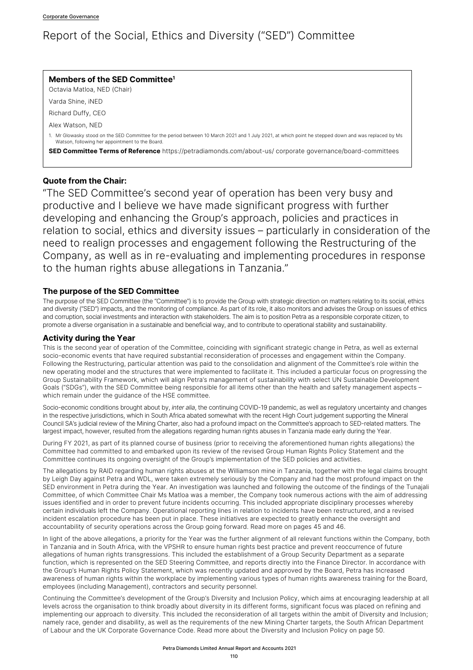## Report of the Social, Ethics and Diversity ("SED") Committee

| Members of the SED Committee <sup>1</sup><br>Octavia Matloa, NED (Chair)                                                                                                                                 |
|----------------------------------------------------------------------------------------------------------------------------------------------------------------------------------------------------------|
| Varda Shine, iNED                                                                                                                                                                                        |
| Richard Duffy, CEO                                                                                                                                                                                       |
| Alex Watson, NED                                                                                                                                                                                         |
| 1. Mr Glowasky stood on the SED Committee for the period between 10 March 2021 and 1 July 2021, at which point he stepped down and was replaced by Ms<br>Watson, following her appointment to the Board. |
| <b>SED Committee Terms of Reference</b> https://petradiamonds.com/about-us/ corporate governance/board-committees                                                                                        |

## **Quote from the Chair:**

"The SED Committee's second year of operation has been very busy and productive and I believe we have made significant progress with further developing and enhancing the Group's approach, policies and practices in relation to social, ethics and diversity issues – particularly in consideration of the need to realign processes and engagement following the Restructuring of the Company, as well as in re-evaluating and implementing procedures in response to the human rights abuse allegations in Tanzania."

### **The purpose of the SED Committee**

The purpose of the SED Committee (the "Committee") is to provide the Group with strategic direction on matters relating to its social, ethics and diversity ("SED") impacts, and the monitoring of compliance. As part of its role, it also monitors and advises the Group on issues of ethics and corruption, social investments and interaction with stakeholders. The aim is to position Petra as a responsible corporate citizen, to promote a diverse organisation in a sustainable and beneficial way, and to contribute to operational stability and sustainability.

## **Activity during the Year**

This is the second year of operation of the Committee, coinciding with significant strategic change in Petra, as well as external socio-economic events that have required substantial reconsideration of processes and engagement within the Company. Following the Restructuring, particular attention was paid to the consolidation and alignment of the Committee's role within the new operating model and the structures that were implemented to facilitate it. This included a particular focus on progressing the Group Sustainability Framework, which will align Petra's management of sustainability with select UN Sustainable Development Goals ("SDGs"), with the SED Committee being responsible for all items other than the health and safety management aspects – which remain under the guidance of the HSE committee.

Socio-economic conditions brought about by, *inter alia*, the continuing COVID-19 pandemic, as well as regulatory uncertainty and changes in the respective jurisdictions, which in South Africa abated somewhat with the recent High Court judgement supporting the Mineral Council SA's judicial review of the Mining Charter, also had a profound impact on the Committee's approach to SED-related matters. The largest impact, however, resulted from the allegations regarding human rights abuses in Tanzania made early during the Year.

During FY 2021, as part of its planned course of business (prior to receiving the aforementioned human rights allegations) the Committee had committed to and embarked upon its review of the revised Group Human Rights Policy Statement and the Committee continues its ongoing oversight of the Group's implementation of the SED policies and activities.

The allegations by RAID regarding human rights abuses at the Williamson mine in Tanzania, together with the legal claims brought by Leigh Day against Petra and WDL, were taken extremely seriously by the Company and had the most profound impact on the SED environment in Petra during the Year. An investigation was launched and following the outcome of the findings of the Tunajali Committee, of which Committee Chair Ms Matloa was a member, the Company took numerous actions with the aim of addressing issues identified and in order to prevent future incidents occurring. This included appropriate disciplinary processes whereby certain individuals left the Company. Operational reporting lines in relation to incidents have been restructured, and a revised incident escalation procedure has been put in place. These initiatives are expected to greatly enhance the oversight and accountability of security operations across the Group going forward. Read more on pages 45 and 46.

In light of the above allegations, a priority for the Year was the further alignment of all relevant functions within the Company, both in Tanzania and in South Africa, with the VPSHR to ensure human rights best practice and prevent reoccurrence of future allegations of human rights transgressions. This included the establishment of a Group Security Department as a separate function, which is represented on the SED Steering Committee, and reports directly into the Finance Director. In accordance with the Group's Human Rights Policy Statement, which was recently updated and approved by the Board, Petra has increased awareness of human rights within the workplace by implementing various types of human rights awareness training for the Board, employees (including Management), contractors and security personnel.

Continuing the Committee's development of the Group's Diversity and Inclusion Policy, which aims at encouraging leadership at all levels across the organisation to think broadly about diversity in its different forms, significant focus was placed on refining and implementing our approach to diversity. This included the reconsideration of all targets within the ambit of Diversity and Inclusion; namely race, gender and disability, as well as the requirements of the new Mining Charter targets, the South African Department of Labour and the UK Corporate Governance Code. Read more about the Diversity and Inclusion Policy on page 50.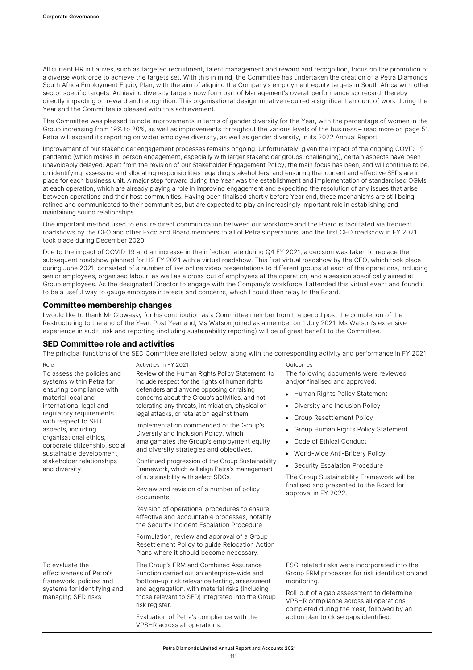All current HR initiatives, such as targeted recruitment, talent management and reward and recognition, focus on the promotion of a diverse workforce to achieve the targets set. With this in mind, the Committee has undertaken the creation of a Petra Diamonds South Africa Employment Equity Plan, with the aim of aligning the Company's employment equity targets in South Africa with other sector specific targets. Achieving diversity targets now form part of Management's overall performance scorecard, thereby directly impacting on reward and recognition. This organisational design initiative required a significant amount of work during the Year and the Committee is pleased with this achievement.

The Committee was pleased to note improvements in terms of gender diversity for the Year, with the percentage of women in the Group increasing from 19% to 20%, as well as improvements throughout the various levels of the business – read more on page 51. Petra will expand its reporting on wider employee diversity, as well as gender diversity, in its 2022 Annual Report.

Improvement of our stakeholder engagement processes remains ongoing. Unfortunately, given the impact of the ongoing COVID-19 pandemic (which makes in-person engagement, especially with larger stakeholder groups, challenging), certain aspects have been unavoidably delayed. Apart from the revision of our Stakeholder Engagement Policy, the main focus has been, and will continue to be, on identifying, assessing and allocating responsibilities regarding stakeholders, and ensuring that current and effective SEPs are in place for each business unit. A major step forward during the Year was the establishment and implementation of standardised OGMs at each operation, which are already playing a role in improving engagement and expediting the resolution of any issues that arise between operations and their host communities. Having been finalised shortly before Year end, these mechanisms are still being refined and communicated to their communities, but are expected to play an increasingly important role in establishing and maintaining sound relationships.

One important method used to ensure direct communication between our workforce and the Board is facilitated via frequent roadshows by the CEO and other Exco and Board members to all of Petra's operations, and the first CEO roadshow in FY 2021 took place during December 2020.

Due to the impact of COVID-19 and an increase in the infection rate during Q4 FY 2021, a decision was taken to replace the subsequent roadshow planned for H2 FY 2021 with a virtual roadshow. This first virtual roadshow by the CEO, which took place during June 2021, consisted of a number of live online video presentations to different groups at each of the operations, including senior employees, organised labour, as well as a cross-cut of employees at the operation, and a session specifically aimed at Group employees. As the designated Director to engage with the Company's workforce, I attended this virtual event and found it to be a useful way to gauge employee interests and concerns, which I could then relay to the Board.

#### **Committee membership changes**

I would like to thank Mr Glowasky for his contribution as a Committee member from the period post the completion of the Restructuring to the end of the Year. Post Year end, Ms Watson joined as a member on 1 July 2021. Ms Watson's extensive experience in audit, risk and reporting (including sustainability reporting) will be of great benefit to the Committee.

#### **SED Committee role and activities**

The principal functions of the SED Committee are listed below, along with the corresponding activity and performance in FY 2021.

| Role                                                                                                                                                                                                                                                                                                                                              | Activities in FY 2021                                                                                                                                                                                                                                                                                                                                                                                                                                                                                                                                                                                                                                                                                                                                                                                                                                                                                                                                                                | Outcomes                                                                                                                                                                                                                                                                                                                                                                                                                                                      |
|---------------------------------------------------------------------------------------------------------------------------------------------------------------------------------------------------------------------------------------------------------------------------------------------------------------------------------------------------|--------------------------------------------------------------------------------------------------------------------------------------------------------------------------------------------------------------------------------------------------------------------------------------------------------------------------------------------------------------------------------------------------------------------------------------------------------------------------------------------------------------------------------------------------------------------------------------------------------------------------------------------------------------------------------------------------------------------------------------------------------------------------------------------------------------------------------------------------------------------------------------------------------------------------------------------------------------------------------------|---------------------------------------------------------------------------------------------------------------------------------------------------------------------------------------------------------------------------------------------------------------------------------------------------------------------------------------------------------------------------------------------------------------------------------------------------------------|
| To assess the policies and<br>systems within Petra for<br>ensuring compliance with<br>material local and<br>international legal and<br>regulatory requirements<br>with respect to SED<br>aspects, including<br>organisational ethics,<br>corporate citizenship, social<br>sustainable development,<br>stakeholder relationships<br>and diversity. | Review of the Human Rights Policy Statement, to<br>include respect for the rights of human rights<br>defenders and anyone opposing or raising<br>concerns about the Group's activities, and not<br>tolerating any threats, intimidation, physical or<br>legal attacks, or retaliation against them.<br>Implementation commenced of the Group's<br>Diversity and Inclusion Policy, which<br>amalgamates the Group's employment equity<br>and diversity strategies and objectives.<br>Continued progression of the Group Sustainability<br>Framework, which will align Petra's management<br>of sustainability with select SDGs.<br>Review and revision of a number of policy<br>documents.<br>Revision of operational procedures to ensure<br>effective and accountable processes, notably<br>the Security Incident Escalation Procedure.<br>Formulation, review and approval of a Group<br>Resettlement Policy to guide Relocation Action<br>Plans where it should become necessary. | The following documents were reviewed<br>and/or finalised and approved:<br>• Human Rights Policy Statement<br>Diversity and Inclusion Policy<br><b>Group Resettlement Policy</b><br>٠<br>Group Human Rights Policy Statement<br>• Code of Ethical Conduct<br>World-wide Anti-Bribery Policy<br>$\bullet$<br>• Security Escalation Procedure<br>The Group Sustainability Framework will be<br>finalised and presented to the Board for<br>approval in FY 2022. |
| To evaluate the<br>effectiveness of Petra's<br>framework, policies and<br>systems for identifying and<br>managing SED risks.                                                                                                                                                                                                                      | The Group's ERM and Combined Assurance<br>Function carried out an enterprise-wide and<br>'bottom-up' risk relevance testing, assessment<br>and aggregation, with material risks (including<br>those relevant to SED) integrated into the Group<br>risk register.<br>Evaluation of Petra's compliance with the<br>VPSHR across all operations.                                                                                                                                                                                                                                                                                                                                                                                                                                                                                                                                                                                                                                        | ESG-related risks were incorporated into the<br>Group ERM processes for risk identification and<br>monitoring.<br>Roll-out of a gap assessment to determine<br>VPSHR compliance across all operations<br>completed during the Year, followed by an<br>action plan to close gaps identified.                                                                                                                                                                   |